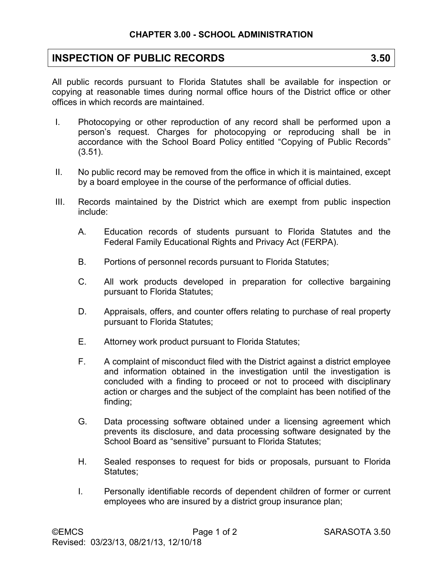## **INSPECTION OF PUBLIC RECORDS** 3.50

All public records pursuant to Florida Statutes shall be available for inspection or copying at reasonable times during normal office hours of the District office or other offices in which records are maintained.

- I. Photocopying or other reproduction of any record shall be performed upon a person's request. Charges for photocopying or reproducing shall be in accordance with the School Board Policy entitled "Copying of Public Records" (3.51).
- II. No public record may be removed from the office in which it is maintained, except by a board employee in the course of the performance of official duties.
- III. Records maintained by the District which are exempt from public inspection include:
	- A. Education records of students pursuant to Florida Statutes and the Federal Family Educational Rights and Privacy Act (FERPA).
	- B. Portions of personnel records pursuant to Florida Statutes;
	- C. All work products developed in preparation for collective bargaining pursuant to Florida Statutes;
	- D. Appraisals, offers, and counter offers relating to purchase of real property pursuant to Florida Statutes;
	- E. Attorney work product pursuant to Florida Statutes;
	- F. A complaint of misconduct filed with the District against a district employee and information obtained in the investigation until the investigation is concluded with a finding to proceed or not to proceed with disciplinary action or charges and the subject of the complaint has been notified of the finding;
	- G. Data processing software obtained under a licensing agreement which prevents its disclosure, and data processing software designated by the School Board as "sensitive" pursuant to Florida Statutes;
	- H. Sealed responses to request for bids or proposals, pursuant to Florida Statutes:
	- I. Personally identifiable records of dependent children of former or current employees who are insured by a district group insurance plan;